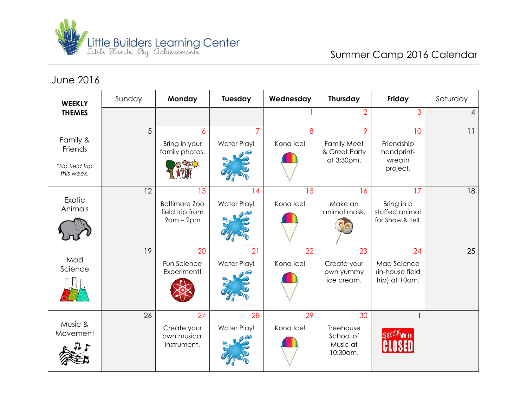

June 2016

| <b>WEEKLY</b><br><b>THEMES</b>                      | Sunday | Monday                                                           | Tuesday                       | Wednesday       | Thursday                                               | Friday                                                 | Saturday |
|-----------------------------------------------------|--------|------------------------------------------------------------------|-------------------------------|-----------------|--------------------------------------------------------|--------------------------------------------------------|----------|
|                                                     |        |                                                                  |                               |                 | $\overline{2}$                                         | 3                                                      | 4        |
| Family &<br>Friends<br>*No field trip<br>this week. | 5      | 6<br>Bring in your<br>family photos.                             | Water Play!                   | 8<br>Kona Ice!  | 9<br><b>Family Meet</b><br>& Greet Party<br>at 3:30pm. | 10<br>Friendship<br>handprint-<br>wreath<br>project.   | 11       |
| Exotic<br>Animals                                   | 12     | 13<br><b>Baltimore Zoo</b><br>field trip from<br>$9$ am – $2$ pm | $\overline{4}$<br>Water Play! | 15<br>Kona Ice! | 16<br>Make an<br>animal mask.                          | 17<br>Bring in a<br>stuffed animal<br>for Show & Tell. | 18       |
| Mad<br>Science                                      | 19     | 20<br>Fun Science<br>Experiment!                                 | 21<br>Water Play!             | 22<br>Kona Ice! | 23<br>Create your<br>own yummy<br>ice cream.           | 24<br>Mad Science<br>(in-house field<br>trip) at 10am. | 25       |
| Music &<br>Movement                                 | 26     | 27<br>Create your<br>own musical<br>instrument.                  | 28<br>Water Play!             | 29<br>Kona Ice! | 30<br>Treehouse<br>School of<br>Music at<br>10:30am.   | Sorry We're                                            |          |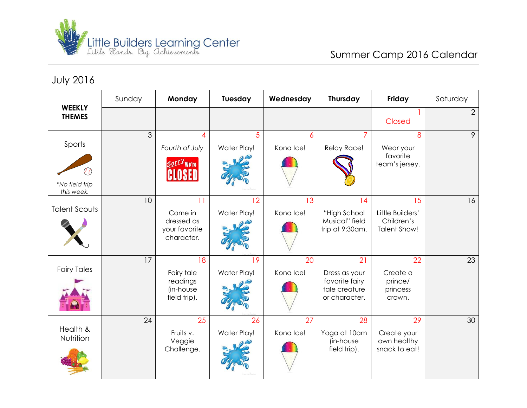

July 2016

| <b>WEEKLY</b><br><b>THEMES</b>         | Sunday | Monday                                                     | Tuesday           | Wednesday       | Thursday                                                                | Friday                                                      | Saturday       |
|----------------------------------------|--------|------------------------------------------------------------|-------------------|-----------------|-------------------------------------------------------------------------|-------------------------------------------------------------|----------------|
|                                        |        |                                                            |                   |                 |                                                                         | Closed                                                      | $\overline{2}$ |
| Sports<br>*No field trip<br>this week. | 3      | 4<br>Fourth of July<br>SOLLY We're                         | 5<br>Water Play!  | 6<br>Kona Ice!  | Relay Race!                                                             | 8<br>Wear your<br>favorite<br>team's jersey.                | 9              |
| <b>Talent Scouts</b>                   | 10     | 11<br>Come in<br>dressed as<br>your favorite<br>character. | 12<br>Water Play! | 13<br>Kona Ice! | 14<br>"High School<br>Musical" field<br>trip at 9:30am.                 | 15<br>Little Builders'<br>Children's<br><b>Talent Show!</b> | 16             |
| <b>Fairy Tales</b>                     | 17     | 18<br>Fairy tale<br>readings<br>(in-house<br>field trip).  | 19<br>Water Play! | 20<br>Kona Ice! | 21<br>Dress as your<br>favorite fairy<br>tale creature<br>or character. | 22<br>Create a<br>prince/<br>princess<br>crown.             | 23             |
| Health &<br>Nutrition                  | 24     | 25<br>Fruits v.<br>Veggie<br>Challenge.                    | 26<br>Water Play! | 27<br>Kona Ice! | 28<br>Yoga at 10am<br>(in-house<br>field trip).                         | 29<br>Create your<br>own healthy<br>snack to eat!           | 30             |